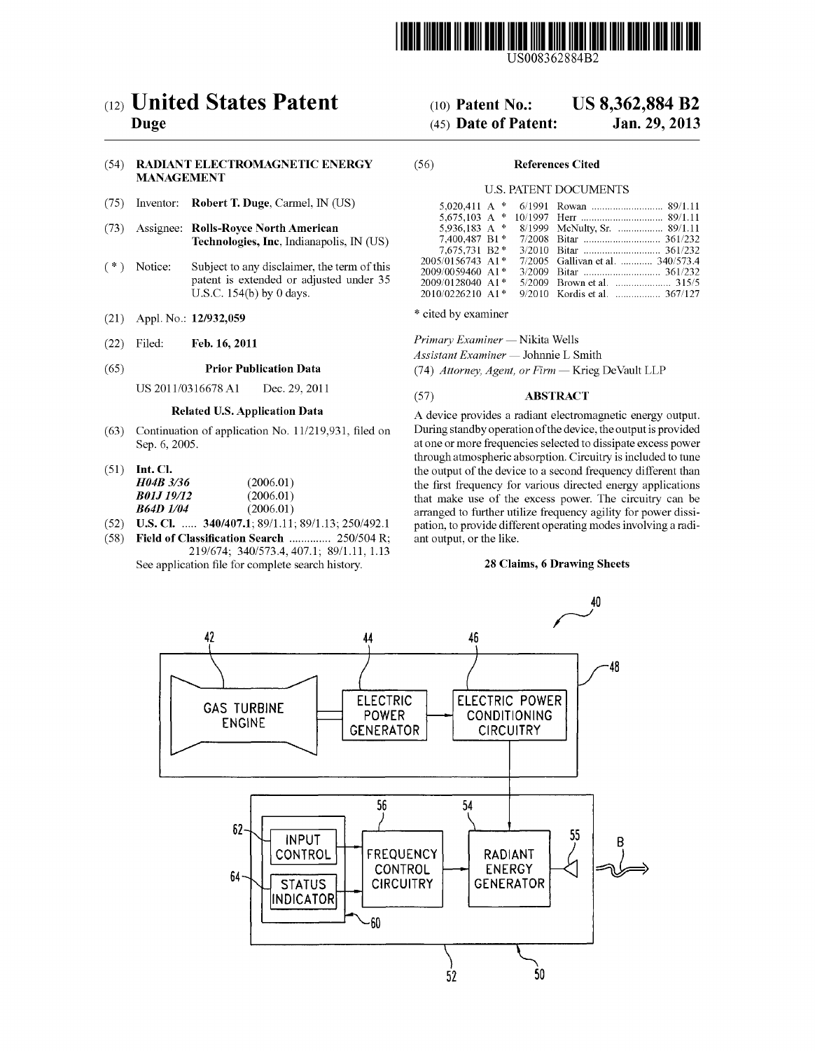

USOO8362884B2

## (54) RADIANT ELECTROMAGNETIC ENERGY (56) References Cited MANAGEMENT

- (75) Inventor: Robert T. Duge, Carmel, IN (US)
- (73) Assignee: Rolls-Royce North American<br>Technologies, Inc, Indianapolis, IN (US)
- patent is extended or adjusted under 35 U.S.C. 154(b) by 0 days.
- (21) Appl. No.: 12/932,059 \* cited by examiner
- 

- 
- 

| H04B 3/36        | (2006.01) |
|------------------|-----------|
| <b>B01J19/12</b> | (2006.01) |
| -864D 1/04       | (2006.01) |

- 
- $(58)$  Field of Classification Search ............... 250/504 R;
	- 219/674; 340/573.4,407.1. 89/1.11, 1.13 See application file for complete search history.

# (12) United States Patent (10) Patent No.: US 8,362,884 B2<br>Duge (45) Date of Patent: Jan. 29, 2013

## $(45)$  Date of Patent:

## U.S. PATENT DOCUMENTS

|             |                                                                                                                                                                                                                                                                                | 2005/0156743 A1 <sup>*</sup> 7/2005 Gallivan et al.  340/573.4 |
|-------------|--------------------------------------------------------------------------------------------------------------------------------------------------------------------------------------------------------------------------------------------------------------------------------|----------------------------------------------------------------|
|             |                                                                                                                                                                                                                                                                                |                                                                |
|             |                                                                                                                                                                                                                                                                                |                                                                |
|             |                                                                                                                                                                                                                                                                                | 2010/0226210 A1* 9/2010 Kordis et al.  367/127                 |
| (*) Notice: | (75) Inventor: <b>Robert T. Duge</b> , Carmel, IN (US)<br>(73) Assignee: Rolls-Royce North American<br><b>Technologies, Inc.</b> Indianapolis, IN (US)<br>Subject to any disclaimer, the term of this<br>patent is extended or adjusted under 35<br>U.S.C. $154(b)$ by 0 days. | $2009/0059460$ A1 <sup>*</sup>                                 |

(22) Filed: Feb. 16, 2011 Primary Examiner – Nikita Wells

Assistant Examiner — Johnnie L. Smith

(65) **Prior Publication Data** (74) Attorney, Agent, or Firm — Krieg DeVault LLP

## US 2011/0316678 A1 Dec. 29, 2011 (57) **ABSTRACT**

Related U.S. Application Data A device provides a radiant electromagnetic energy output. (63) Continuation of application No. 11/219,931, filed on During standby operation of the device, the output is provided Sep. 6, 2005. at one or more frequencies selected to dissipate excess power through atmospheric absorption. Circuitry is included to tune (51) Int. Cl. the output of the device to a second frequency different than the first frequency for various directed energy applications that make use of the excess power. The circuitry can be **B64D 1/04** (2006.01) arranged to further utilize frequency agility for power dissi-<br>(52) **U.S. Cl.** ..... **340/407.1**; 89/1.11; 89/1.13; 250/492.1 pation, to provide different operating modes involving a radipation, to provide different operating modes involving a radiant output, or the like.

## 28 Claims, 6 Drawing Sheets

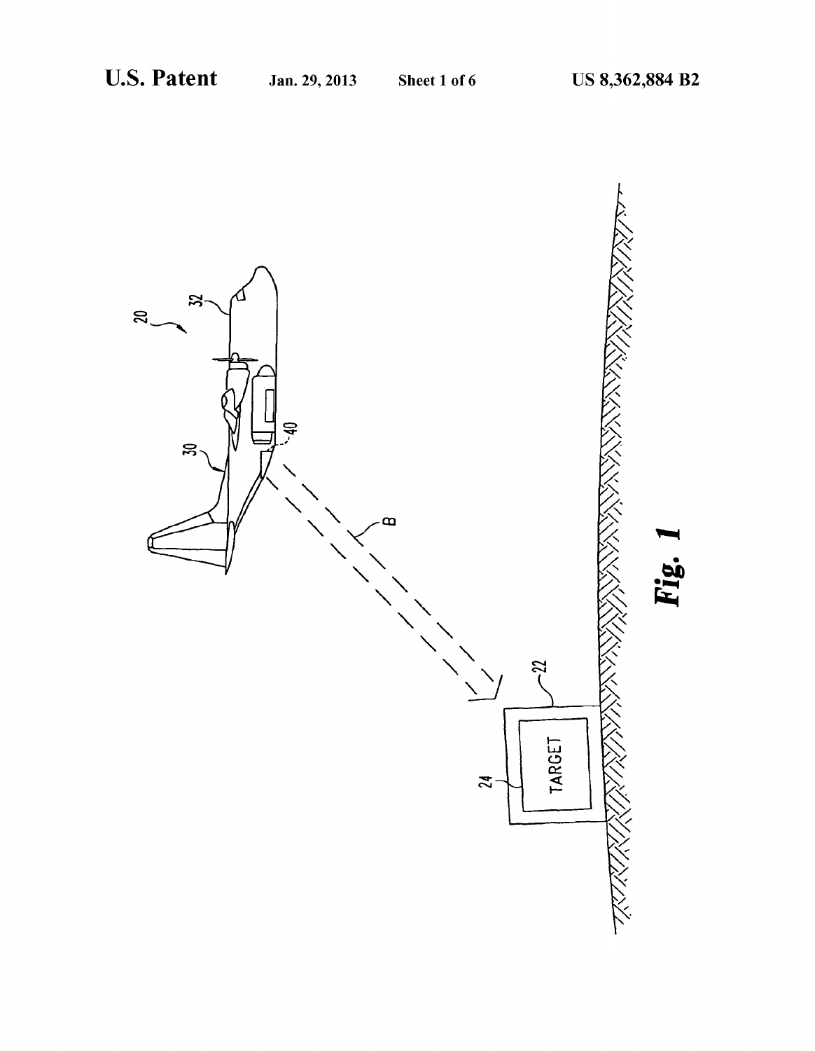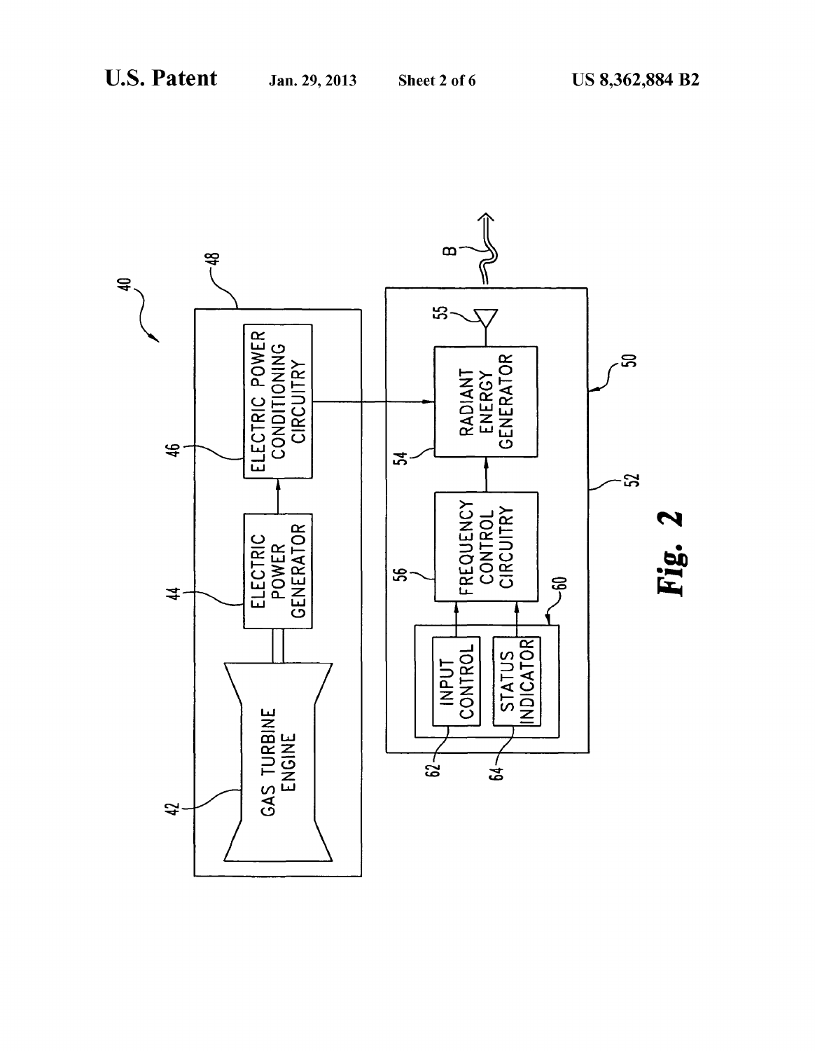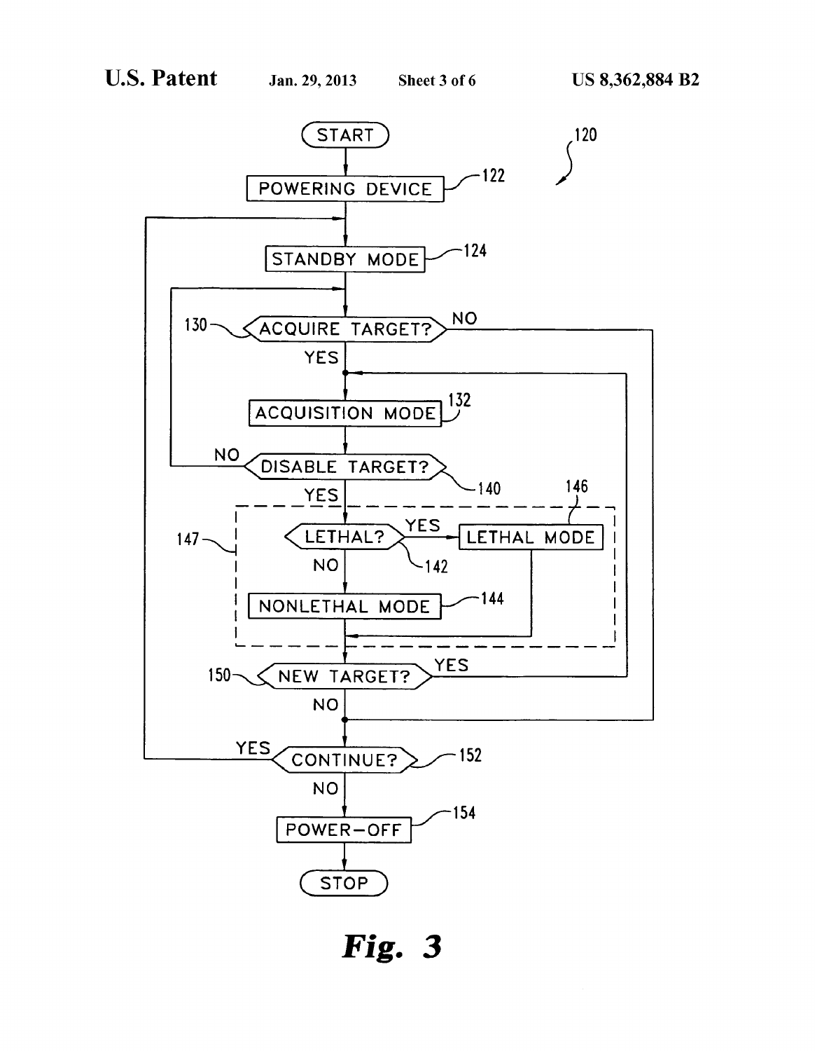

Fig. 3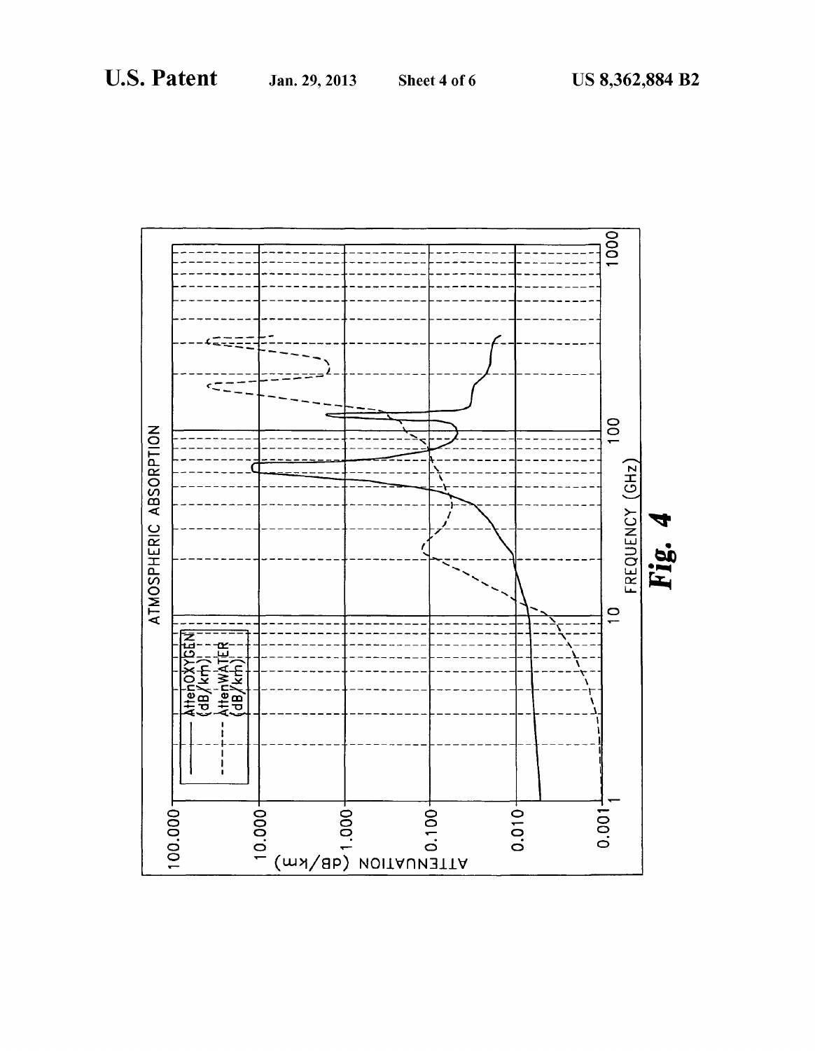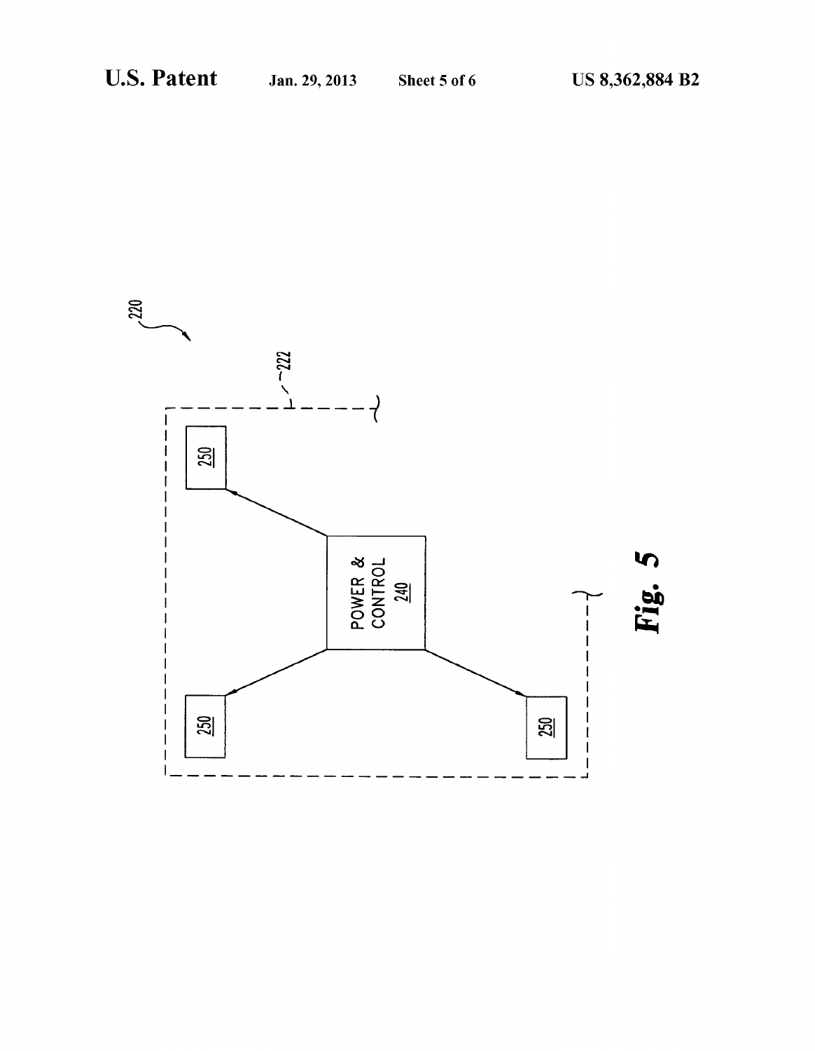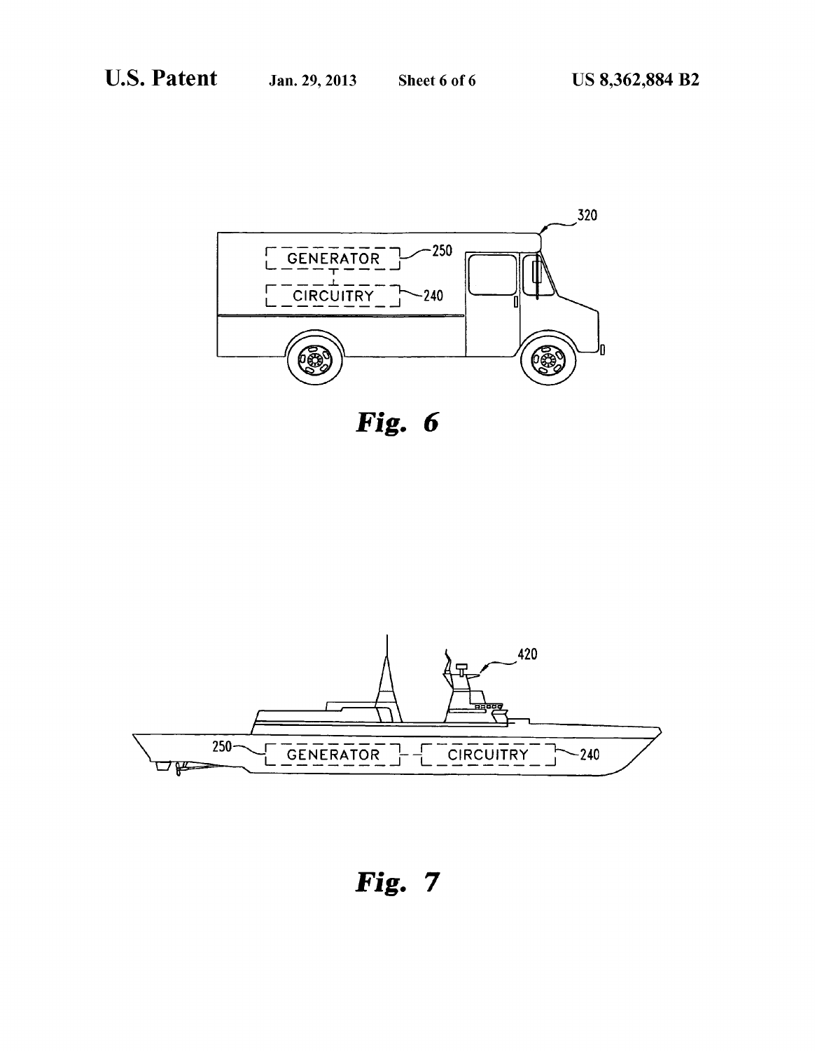

Fig. 6



**Fig. 7**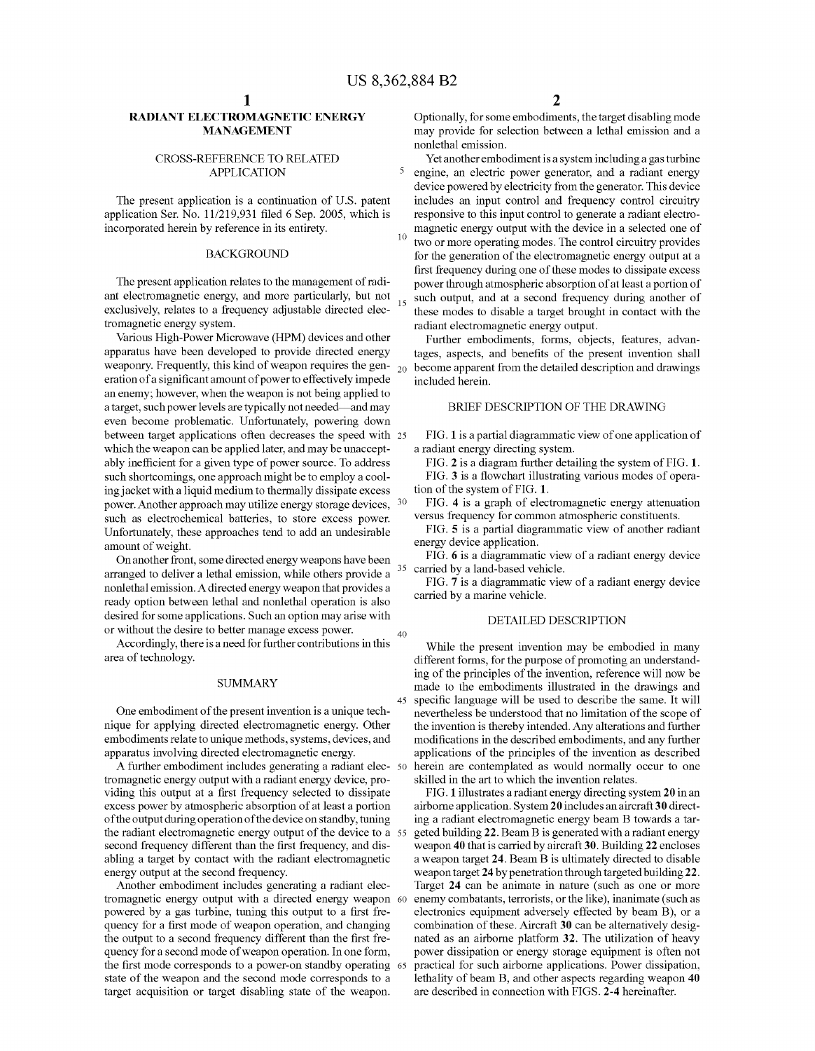45

## RADIANT ELECTROMAGNETIC ENERGY MANAGEMENT

## CROSS-REFERENCE TO RELATED APPLICATION

The present application is a continuation of U.S. patent application Ser. No. 11/219,931 filed 6 Sep. 2005, which is incorporated herein by reference in its entirety.

## BACKGROUND

The present application relates to the management of radi ant electromagnetic energy, and more particularly, but not exclusively, relates to a frequency adjustable directed elec tromagnetic energy system.

Various High-Power Microwave (HPM) devices and other apparatus have been developed to provide directed energy weaponry. Frequently, this kind of weapon requires the gen- $_{20}$ eration of a significant amount of power to effectively impede an enemy; however, when the weapon is not being applied to a target, Such power levels are typically not needed—and may even become problematic. Unfortunately, powering down between target applications often decreases the speed with 25 which the weapon can be applied later, and may be unaccept ably inefficient for a given type of power source. To address such shortcomings, one approach might be to employ a cooling jacket with a liquid medium to thermally dissipate excess power. Another approach may utilize energy storage devices,  $30$ such as electrochemical batteries, to store excess power. Unfortunately, these approaches tend to add an undesirable amount of weight.

On another front, some directed energy weapons have been arranged to deliver a lethal emission, while others provide a nonlethal emission. A directed energy weapon that provides a ready option between lethal and nonlethal operation is also desired for some applications. Such an option may arise with or without the desire to better manage excess power. 35

Accordingly, there is a need for further contributions in this area of technology.

## SUMMARY

One embodiment of the present invention is a unique tech nique for applying directed electromagnetic energy. Other embodiments relate to unique methods, systems, devices, and apparatus involving directed electromagnetic energy.

A further embodiment includes generating a radiant elec- 50 tromagnetic energy output with a radiant energy device, pro viding this output at a first frequency selected to dissipate excess power by atmospheric absorption of at least a portion of the output during operation of the device on standby, tuning the radiant electromagnetic energy output of the device to a 55 second frequency different than the first frequency, and dis abling a target by contact with the radiant electromagnetic energy output at the second frequency.

Another embodiment includes generating a radiant elec tromagnetic energy output with a directed energy weapon 60 powered by a gas turbine, tuning this output to a first fre quency for a first mode of weapon operation, and changing the output to a second frequency different than the first fre quency for a second mode of weapon operation. In one form, the first mode corresponds to a power-on standby operating 65 state of the weapon and the second mode corresponds to a target acquisition or target disabling state of the weapon.

Optionally, for some embodiments, the target disabling mode may provide for selection between a lethal emission and a nonlethal emission.

10 15 Yet another embodiment is a system including a gas turbine engine, an electric power generator, and a radiant energy device powered by electricity from the generator. This device includes an input control and frequency control circuitry responsive to this input control to generate a radiant electro magnetic energy output with the device in a selected one of two or more operating modes. The control circuitry provides for the generation of the electromagnetic energy output at a first frequency during one of these modes to dissipate excess power through atmospheric absorption of at least a portion of such output, and at a second frequency during another of these modes to disable a target brought in contact with the radiant electromagnetic energy output.

Further embodiments, forms, objects, features, advan tages, aspects, and benefits of the present invention shall become apparent from the detailed description and drawings included herein.

## BRIEF DESCRIPTION OF THE DRAWING

FIG. 1 is a partial diagrammatic view of one application of a radiant energy directing system.

FIG. 2 is a diagram further detailing the system of FIG. 1. FIG. 3 is a flowchart illustrating various modes of opera tion of the system of FIG. 1.

FIG. 4 is a graph of electromagnetic energy attenuation Versus frequency for common atmospheric constituents.

FIG. 5 is a partial diagrammatic view of another radiant energy device application.

FIG. 6 is a diagrammatic view of a radiant energy device carried by a land-based vehicle.

FIG. 7 is a diagrammatic view of a radiant energy device carried by a marine vehicle.

## DETAILED DESCRIPTION

While the present invention may be embodied in many different forms, for the purpose of promoting an understanding of the principles of the invention, reference will now be made to the embodiments illustrated in the drawings and specific language will be used to describe the same. It will nevertheless be understood that no limitation of the scope of the invention is thereby intended. Any alterations and further modifications in the described embodiments, and any further applications of the principles of the invention as described herein are contemplated as would normally occur to one skilled in the art to which the invention relates.

FIG. 1 illustrates a radiant energy directing system 20 in an airborne application. System 20 includes an aircraft 30 direct ing a radiant electromagnetic energy beam B towards a tar geted building 22. Beam B is generated with a radiant energy weapon 40 that is carried by aircraft 30. Building 22 encloses a weapon target 24. Beam B is ultimately directed to disable weapon target 24 by penetration through targeted building 22. Target 24 can be animate in nature (such as one or more enemy combatants, terrorists, or the like), inanimate (such as electronics equipment adversely effected by beam B), or a combination of these. Aircraft 30 can be alternatively desig nated as an airborne platform 32. The utilization of heavy power dissipation or energy storage equipment is often not practical for such airborne applications. Power dissipation, lethality of beam B, and other aspects regarding weapon 40 are described in connection with FIGS. 2-4 hereinafter.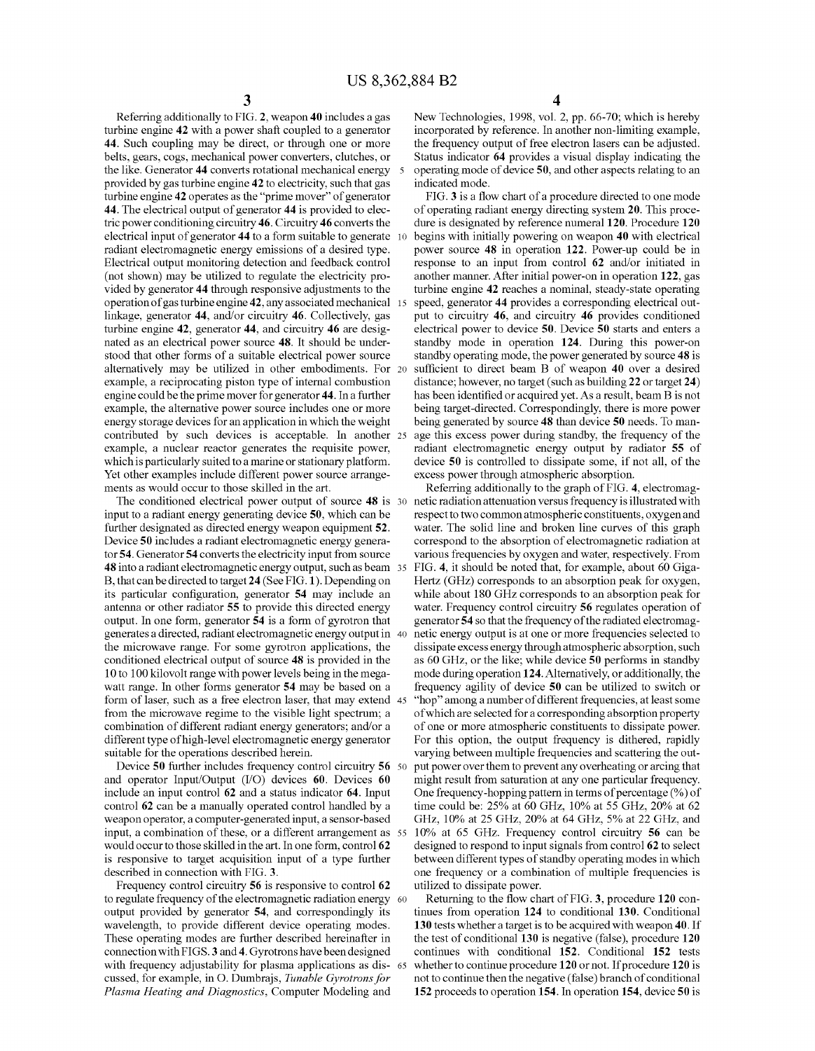Referring additionally to FIG. 2, weapon 40 includes a gas turbine engine 42 with a power shaft coupled to a generator 44. Such coupling may be direct, or through one or more belts, gears, cogs, mechanical power converters, clutches, or the like. Generator 44 converts rotational mechanical energy provided by gas turbine engine 42 to electricity, such that gas turbine engine 42 operates as the "prime mover" of generator 44. The electrical output of generator 44 is provided to elec tric power conditioning circuitry 46. Circuitry 46 converts the electrical input of generator 44 to a form suitable to generate radiant electromagnetic energy emissions of a desired type. Electrical output monitoring detection and feedback control vided by generator 44 through responsive adjustments to the operation of gasturbine engine 42, any associated mechanical linkage, generator 44, and/or circuitry 46. Collectively, gas turbine engine 42, generator 44, and circuitry 46 are desig nated as an electrical power source 48. It should be under stood that other forms of a suitable electrical power source alternatively may be utilized in other embodiments. For example, a reciprocating piston type of internal combustion engine could be the prime mover for generator 44. In a further example, the alternative power source includes one or more energy storage devices for an application in which the weight contributed by such devices is acceptable. In another 25 example, a nuclear reactor generates the requisite power, which is particularly suited to a marine or stationary platform. Yet other examples include different power source arrange ments as would occur to those skilled in the art. 10

The conditioned electrical power output of source 48 is 30 input to a radiant energy generating device 50, which can be further designated as directed energy weapon equipment 52. Device 50 includes a radiant electromagnetic energy genera tor 54. Generator 54 converts the electricity input from source 48 into a radiant electromagnetic energy output, such as beam 35 B, that can be directed to target 24 (See FIG.1). Depending on its particular configuration, generator 54 may include an antenna or other radiator 55 to provide this directed energy output. In one form, generator 54 is a form of gyrotron that generates a directed, radiant electromagnetic energy output in 40 the microwave range. For some gyrotron applications, the conditioned electrical output of source 48 is provided in the 10 to 100 kilovolt range with power levels being in the mega watt range. In other forms generator 54 may be based on a form of laser, such as a free electron laser, that may extend 45 from the microwave regime to the visible light spectrum; a combination of different radiant energy generators; and/or a different type of high-level electromagnetic energy generator suitable for the operations described herein.

Device 50 further includes frequency control circuitry 56 50 and operator Input/Output (I/O) devices 60. Devices 60 include an input control 62 and a status indicator 64. Input control 62 can be a manually operated control handled by a weapon operator, a computer-generated input, a sensor-based input, a combination of these, or a different arrangement as 55 would occur to those skilled in the art. In one form, control 62 is responsive to target acquisition input of a type further described in connection with FIG. 3.

Frequency control circuitry 56 is responsive to control 62 to regulate frequency of the electromagnetic radiation energy 60 output provided by generator 54, and correspondingly its wavelength, to provide different device operating modes. These operating modes are further described hereinafter in connection with FIGS. 3 and 4. Gyrotrons have been designed connection with FIGS. 3 and 4. Gyrotrons have been designed with frequency adjustability for plasma applications as dis- 65 cussed, for example, in O. Dumbrajs, Tunable Gyrotrons for Plasma Heating and Diagnostics, Computer Modeling and

New Technologies, 1998, Vol. 2, pp. 66-70; which is hereby incorporated by reference. In another non-limiting example, the frequency output of free electron lasers can be adjusted. Status indicator 64 provides a visual display indicating the operating mode of device 50, and other aspects relating to an indicated mode.

FIG. 3 is a flow chart of a procedure directed to one mode of operating radiant energy directing system 20. This proce dure is designated by reference numeral 120. Procedure 120 begins with initially powering on weapon 40 with electrical power source 48 in operation 122. Power-up could be in response to an input from control 62 and/or initiated in another manner. After initial power-on in operation 122, gas turbine engine 42 reaches a nominal, steady-state operating speed, generator 44 provides a corresponding electrical out put to circuitry 46, and circuitry 46 provides conditioned electrical power to device 50. Device 50 starts and enters a standby mode in operation 124. During this power-on standby operating mode, the power generated by source 48 is sufficient to direct beam B of weapon 40 over a desired distance; however, no target (such as building 22 or target 24) has been identified or acquired yet. As a result, beam B is not being target-directed. Correspondingly, there is more power being generated by source 48 than device 50 needs. To man age this excess power during standby, the frequency of the radiant electromagnetic energy output by radiator 55 of device 50 is controlled to dissipate some, if not all, of the excess power through atmospheric absorption.

Referring additionally to the graph of FIG. 4, electromag netic radiation attenuation versus frequency is illustrated with respect to two common atmospheric constituents, oxygen and water. The solid line and broken line curves of this graph correspond to the absorption of electromagnetic radiation at various frequencies by oxygen and water, respectively. From FIG. 4, it should be noted that, for example, about 60 Giga Hertz (GHz) corresponds to an absorption peak for oxygen, while about 180 GHz corresponds to an absorption peak for water. Frequency control circuitry 56 regulates operation of generator 54 so that the frequency of the radiated electromagnetic energy output is at one or more frequencies selected to dissipate excess energy through atmospheric absorption, such as 60 GHz, or the like; while device 50 performs in standby mode during operation 124. Alternatively, or additionally, the frequency agility of device 50 can be utilized to switch or "hop" among a number of different frequencies, at least some of which are selected for a corresponding absorption property of one or more atmospheric constituents to dissipate power. varying between multiple frequencies and scattering the output power over them to prevent any overheating or arcing that might result from Saturation at any one particular frequency. One frequency-hopping pattern in terms of percentage (%) of time could be: 25% at 60 GHZ, 10% at 55 GHZ, 20% at 62 GHZ, 10% at 25 GHZ, 20% at 64 GHZ, 5% at 22 GHZ, and 10% at 65 GHz. Frequency control circuitry 56 can be designed to respond to input signals from control 62 to select between different types of standby operating modes in which one frequency or a combination of multiple frequencies is utilized to dissipate power.

Returning to the flow chart of FIG. 3, procedure 120 con tinues from operation 124 to conditional 130. Conditional 130 tests whether a target is to be acquired with weapon 40. If the test of conditional 130 is negative (false), procedure 120 continues with conditional 152. Conditional 152 tests whether to continue procedure 120 or not. If procedure 120 is not to continue then the negative (false) branch of conditional 152 proceeds to operation 154. In operation 154, device 50 is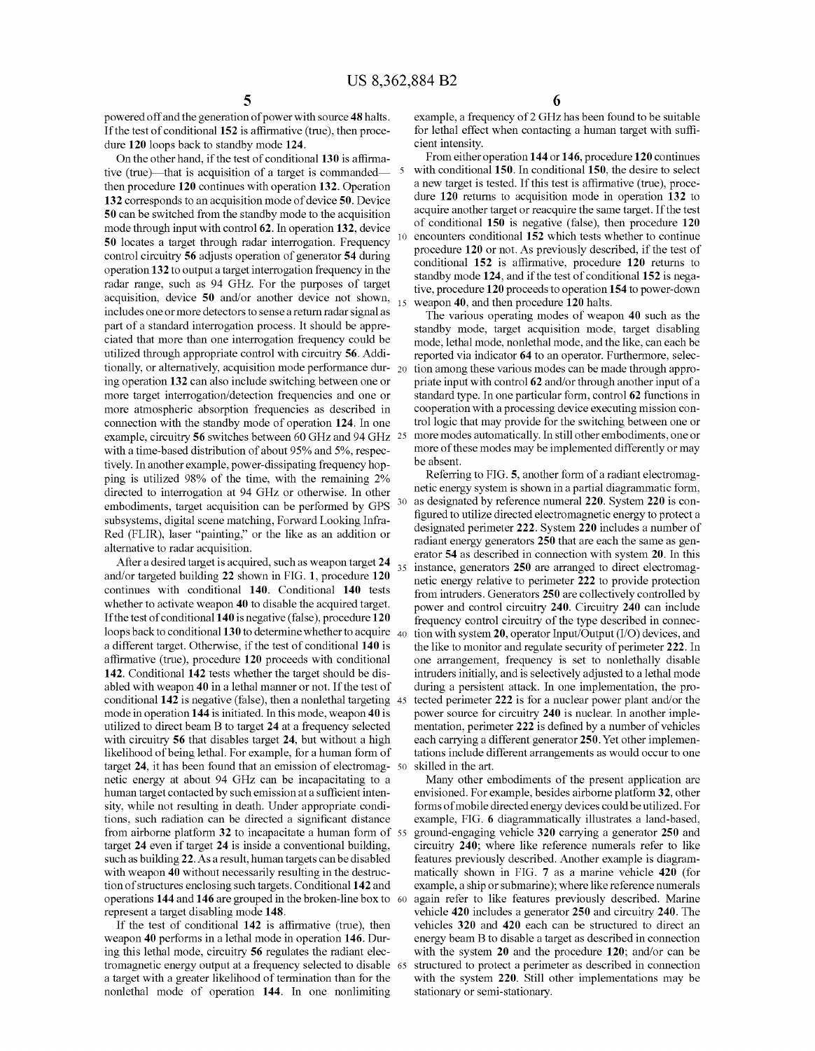10

15

30

powered off and the generation of power with source 48 halts. If the test of conditional 152 is affirmative (true), then proce dure 120 loops back to standby mode 124.

On the other hand, if the test of conditional 130 is affirma tive (true)—that is acquisition of a target is commanded then procedure 120 continues with operation 132. Operation 132 corresponds to an acquisition mode of device 50. Device 50 can be switched from the standby mode to the acquisition mode through input with control 62. In operation 132, device 50 locates a target through radar interrogation. Frequency control circuitry 56 adjusts operation of generator 54 during operation 132 to output a target interrogation frequency in the radar range, such as 94 GHz. For the purposes of target acquisition, device 50 and/or another device not shown, includes one or more detectors to sensea return radar signal as part of a standard interrogation process. It should be appre ciated that more than one interrogation frequency could be utilized through appropriate control with circuitry 56. Addi tionally, or alternatively, acquisition mode performance dur ing operation 132 can also include switching between one or more target interrogation/detection frequencies and one or more atmospheric absorption frequencies as described in connection with the standby mode of operation 124. In one example, circuitry 56 switches between 60 GHz and 94 GHz 25 with a time-based distribution of about 95% and 5%, respectively. In another example, power-dissipating frequency hopping is utilized 98% of the time, with the remaining 2% directed to interrogation at 94 GHz or otherwise. In other embodiments, target acquisition can be performed by GPS subsystems, digital scene matching, Forward Looking Infra-Red (FLIR), laser "painting," or the like as an addition or alternative to radar acquisition.

After a desired target is acquired, such as weapon target 24 and/or targeted building 22 shown in FIG. 1, procedure 120 continues with conditional 140. Conditional 140 tests whether to activate weapon 40 to disable the acquired target. If the test of conditional 140 is negative (false), procedure 120 loops back to conditional **130** to determine whether to acquire  $\,_{40}$ a different target. Otherwise, if the test of conditional 140 is affirmative (true), procedure 120 proceeds with conditional 142. Conditional 142 tests whether the target should be dis abled with weapon 40 in a lethal manner or not. If the test of conditional 142 is negative (false), then a nonlethal targeting 45 mode in operation 144 is initiated. In this mode, weapon 40 is utilized to direct beam B to target 24 at a frequency selected with circuitry 56 that disables target 24, but without a high likelihood of being lethal. For example, for a human form of netic energy at about 94 GHz can be incapacitating to a human target contacted by such emission at a sufficient intensity, while not resulting in death. Under appropriate condi tions, such radiation can be directed a significant distance 35 target 24, it has been found that an emission of electromag- 50 from airborne platform 32 to incapacitate a human form of 55 target 24 even if target 24 is inside a conventional building, such as building 22. As a result, human targets can be disabled with weapon 40 without necessarily resulting in the destruction of structures enclosing Such targets. Conditional 142 and operations 144 and 146 are grouped in the broken-line box to 60 represent a target disabling mode 148.

If the test of conditional 142 is affirmative (true), then weapon 40 performs in a lethal mode in operation 146. Dur ing this lethal mode, circuitry 56 regulates the radiant elec tromagnetic energy output at a frequency selected to disable 65 a target with a greater likelihood of termination than for the nonlethal mode of operation 144. In one nonlimiting

example, a frequency of 2 GHz has been found to be suitable for lethal effect when contacting a human target with suffi cient intensity.

From either operation 144 or 146, procedure 120 continues with conditional 150. In conditional 150, the desire to select a new target is tested. If this test is affirmative (true), procedure 120 returns to acquisition mode in operation 132 to acquire another target or reacquire the same target. If the test of conditional 150 is negative (false), then procedure 120 encounters conditional 152 which tests whether to continue procedure 120 or not. As previously described, if the test of conditional 152 is affirmative, procedure 120 returns to standby mode 124, and if the test of conditional 152 is negative, procedure 120 proceeds to operation 154 to power-down weapon 40, and then procedure 120 halts.

The various operating modes of weapon 40 such as the standby mode, target acquisition mode, target disabling mode, lethal mode, nonlethal mode, and the like, can each be reported via indicator 64 to an operator. Furthermore, selection among these various modes can be made through appropriate input with control 62 and/or through another input of a standard type. In one particular form, control 62 functions in cooperation with a processing device executing mission con trol logic that may provide for the switching between one or more modes automatically. In still other embodiments, one or more of these modes may be implemented differently or may

be absent.<br>Referring to FIG. 5, another form of a radiant electromagnetic energy system is shown in a partial diagrammatic form, as designated by reference numeral 220. System 220 is con figured to utilize directed electromagnetic energy to protect a designated perimeter 222. System 220 includes a number of radiant energy generators 250 that are each the same as gen erator 54 as described in connection with system 20. In this instance, generators 250 are arranged to direct electromagnetic energy relative to perimeter 222 to provide protection from intruders. Generators 250 are collectively controlled by power and control circuitry 240. Circuitry 240 can include frequency control circuitry of the type described in connec tion with system 20, operator Input/Output (I/O) devices, and the like to monitor and regulate security of perimeter 222. In one arrangement, frequency is set to nonlethally disable intruders initially, and is selectively adjusted to a lethal mode during a persistent attack. In one implementation, the pro tected perimeter 222 is for a nuclear power plant and/or the power source for circuitry 240 is nuclear. In another imple mentation, perimeter 222 is defined by a number of vehicles each carrying a different generator 250. Yet other implemen tations include different arrangements as would occur to one skilled in the art.

Many other embodiments of the present application are envisioned. For example, besides airborne platform 32, other forms of mobile directed energy devices could be utilized. For example, FIG. 6 diagrammatically illustrates a land-based, ground-engaging vehicle 320 carrying a generator 250 and circuitry 240; where like reference numerals refer to like features previously described. Another example is diagram matically shown in FIG. 7 as a marine vehicle 420 (for example, a ship or submarine); where like reference numerals again refer to like features previously described. Marine vehicle 420 includes a generator 250 and circuitry 240. The vehicles 320 and 420 each can be structured to direct an energy beam B to disable a target as described in connection with the system 20 and the procedure 120; and/or can be structured to protect a perimeter as described in connection with the system 220. Still other implementations may be stationary or semi-stationary.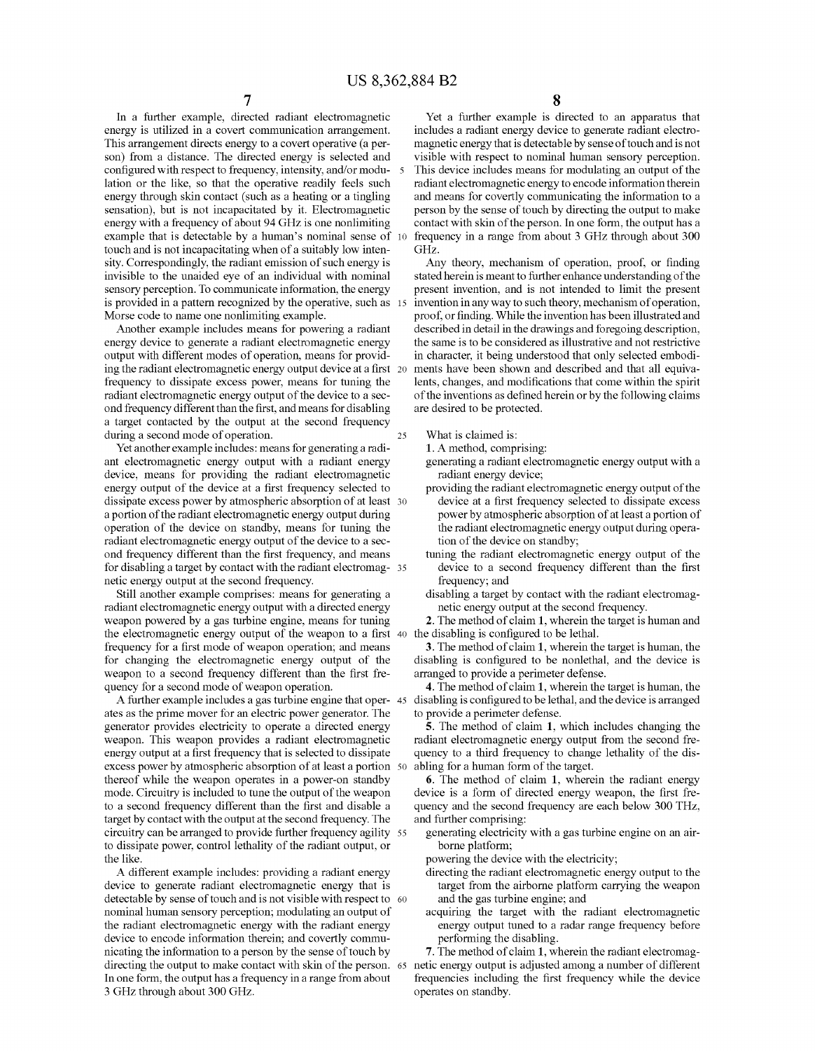In a further example, directed radiant electromagnetic energy is utilized in a covert communication arrangement. This arrangement directs energy to a covert operative (a person) from a distance. The directed energy is selected and configured with respect to frequency, intensity, and/or modu lation or the like, so that the operative readily feels such energy through skin contact (such as a heating or a tingling sensation), but is not incapacitated by it. Electromagnetic energy with a frequency of about 94 GHZ is one nonlimiting example that is detectable by a human's nominal sense of 10 touch and is not incapacitating when of a suitably low intensity. Correspondingly, the radiant emission of such energy is invisible to the unaided eye of an individual with nominal sensory perception. To communicate information, the energy sensory perception. 10 communicate information, the energy<br>is provided in a pattern recognized by the operative, such as 15 Morse code to name one nonlimiting example.

Another example includes means for powering a radiant energy device to generate a radiant electromagnetic energy output with different modes of operation, means for provid ing the radiant electromagnetic energy output device at a first frequency to dissipate excess power, means for tuning the radiant electromagnetic energy output of the device to a sec ond frequency different than the first, and means for disabling a target contacted by the output at the second frequency during a second mode of operation.

Yet another example includes: means for generating a radi ant electromagnetic energy output with a radiant energy device, means for providing the radiant electromagnetic energy output of the device at a first frequency selected to dissipate excess power by atmospheric absorption of at least 30 a portion of the radiant electromagnetic energy output during operation of the device on standby, means for tuning the radiant electromagnetic energy output of the device to a sec ond frequency different than the first frequency, and means for disabling a target by contact with the radiant electromag- 35<br>netic energy output at the second frequency.

Still another example comprises: means for generating a radiant electromagnetic energy output with a directed energy weapon powered by a gas turbine engine, means for tuning the electromagnetic energy output of the weapon to a first 40 the disabling is configured to be lethal. frequency for a first mode of weapon operation; and means for changing the electromagnetic energy output of the weapon to a second frequency different than the first fre quency for a second mode of weapon operation.

A further example includes a gas turbine engine that oper- 45 ates as the prime mover for an electric power generator. The generator provides electricity to operate a directed energy weapon. This weapon provides a radiant electromagnetic energy output at a first frequency that is selected to dissipate excess power by atmospheric absorption of at least a portion 50 thereof while the weapon operates in a power-on standby mode. Circuitry is included to tune the output of the weapon to a second frequency different than the first and disable a target by contact with the output at the second frequency. The circuitry can be arranged to provide further frequency agility 55 to dissipate power, control lethality of the radiant output, or the like.

A different example includes: providing a radiant energy device to generate radiant electromagnetic energy that is detectable by sense of touch and is not visible with respect to 60 nominal human sensory perception; modulating an output of the radiant electromagnetic energy with the radiant energy device to encode information therein; and covertly communicating the information to a person by the sense of touch by nicating the information to a person by the sense of touch by T. The method of claim 1, wherein the radiant electromag-<br>directing the output to make contact with skin of the person. 65 netic energy output is adjusted among In one form, the output has a frequency in a range from about 3 GHz through about 300 GHz.

Yet a further example is directed to an apparatus that includes a radiant energy device to generate radiant electro magnetic energy that is detectable by sense of touch and is not visible with respect to nominal human sensory perception. This device includes means for modulating an output of the radiant electromagnetic energy to encode information therein and means for covertly communicating the information to a person by the sense of touch by directing the output to make contact with skin of the person. In one form, the output has a frequency in a range from about 3 GHZ through about 300 GHZ.

Any theory, mechanism of operation, proof, or finding stated herein is meant to further enhance understanding of the present invention, and is not intended to limit the present invention in any way to such theory, mechanism of operation, proof, or finding. While the invention has been illustrated and described in detail in the drawings and foregoing description, the same is to be considered as illustrative and not restrictive in character, it being understood that only selected embodi-<br>ments have been shown and described and that all equivalents, changes, and modifications that come within the spirit of the inventions as defined herein or by the following claims are desired to be protected.

What is claimed is:

25

- 1. A method, comprising: generating a radiant electromagnetic energy output with a radiant energy device;
- providing the radiant electromagnetic energy output of the device at a first frequency selected to dissipate excess power by atmospheric absorption of at least a portion of the radiant electromagnetic energy output during operation of the device on standby;
- tuning the radiant electromagnetic energy output of the device to a second frequency different than the first frequency; and<br>disabling a target by contact with the radiant electromag-
- netic energy output at the second frequency.

2. The method of claim 1, wherein the target is human and

3. The method of claim 1, wherein the target is human, the disabling is configured to be nonlethal, and the device is arranged to provide a perimeter defense.

4. The method of claim 1, wherein the target is human, the disabling is configured to be lethal, and the device is arranged to provide a perimeter defense.

5. The method of claim 1, which includes changing the radiant electromagnetic energy output from the second fre quency to a third frequency to change lethality of the dis

abling for a human form of the target.<br> **6**. The method of claim 1, wherein the radiant energy device is a form of directed energy weapon, the first frequency and the second frequency are each below 300 THz, and further comprising:

generating electricity with a gas turbine engine on an airborne platform;<br>powering the device with the electricity;

- directing the radiant electromagnetic energy output to the target from the airborne platform carrying the weapon and the gas turbine engine; and
- acquiring the target with the radiant electromagnetic energy output tuned to a radar range frequency before performing the disabling.

frequencies including the first frequency while the device operates on standby.